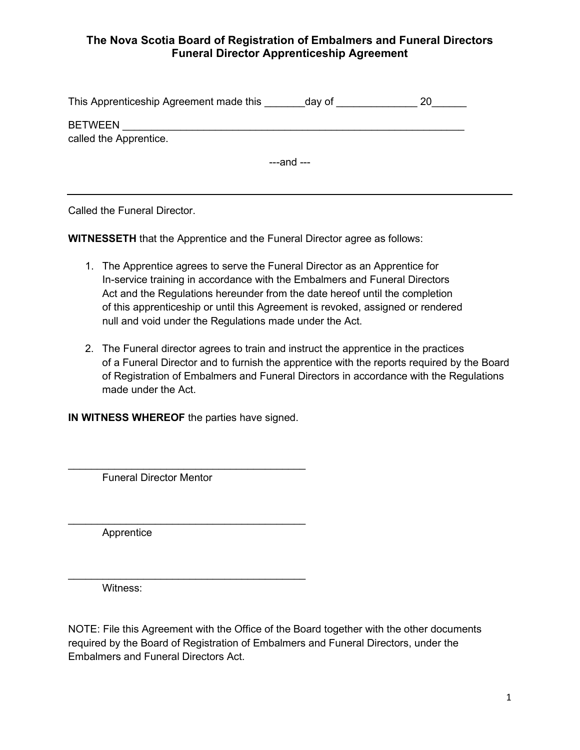## **The Nova Scotia Board of Registration of Embalmers and Funeral Directors Funeral Director Apprenticeship Agreement**

| This Apprenticeship Agreement made this  | day of      | 20 |
|------------------------------------------|-------------|----|
| <b>BETWEEN</b><br>called the Apprentice. |             |    |
|                                          | $---and---$ |    |

Called the Funeral Director.

**WITNESSETH** that the Apprentice and the Funeral Director agree as follows:

- 1. The Apprentice agrees to serve the Funeral Director as an Apprentice for In-service training in accordance with the Embalmers and Funeral Directors Act and the Regulations hereunder from the date hereof until the completion of this apprenticeship or until this Agreement is revoked, assigned or rendered null and void under the Regulations made under the Act.
- 2. The Funeral director agrees to train and instruct the apprentice in the practices of a Funeral Director and to furnish the apprentice with the reports required by the Board of Registration of Embalmers and Funeral Directors in accordance with the Regulations made under the Act.

**IN WITNESS WHEREOF** the parties have signed.

 $\_$ 

\_\_\_\_\_\_\_\_\_\_\_\_\_\_\_\_\_\_\_\_\_\_\_\_\_\_\_\_\_\_\_\_\_\_\_\_\_\_\_\_\_

\_\_\_\_\_\_\_\_\_\_\_\_\_\_\_\_\_\_\_\_\_\_\_\_\_\_\_\_\_\_\_\_\_\_\_\_\_\_\_\_\_

Funeral Director Mentor

Apprentice

Witness:

NOTE: File this Agreement with the Office of the Board together with the other documents required by the Board of Registration of Embalmers and Funeral Directors, under the Embalmers and Funeral Directors Act.